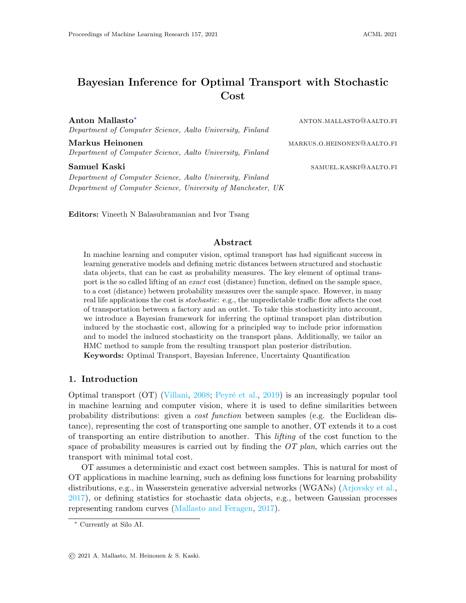# Bayesian Inference for Optimal Transport with Stochastic Cost

Anton Mallasto<sup>\*</sup> anton.mallasto<sup>\*</sup> anton.mallasto<sup>®</sup>aalto.fi Department of Computer Science, Aalto University, Finland

Markus Heinonen markus.o.heinonen markus.o.heinonen markus.o.heinonen markus.o.heinonen markus.o.heinonen markus. Department of Computer Science, Aalto University, Finland

Samuel Kaski samuel Kaski samuel Kaski samuel Kaski samuel Kaski samuel Kaski samuel Kaski samuel Kaski samuel Department of Computer Science, Aalto University, Finland Department of Computer Science, University of Manchester, UK

Editors: Vineeth N Balasubramanian and Ivor Tsang

#### Abstract

In machine learning and computer vision, optimal transport has had significant success in learning generative models and defining metric distances between structured and stochastic data objects, that can be cast as probability measures. The key element of optimal transport is the so called lifting of an exact cost (distance) function, defined on the sample space, to a cost (distance) between probability measures over the sample space. However, in many real life applications the cost is stochastic: e.g., the unpredictable traffic flow affects the cost of transportation between a factory and an outlet. To take this stochasticity into account, we introduce a Bayesian framework for inferring the optimal transport plan distribution induced by the stochastic cost, allowing for a principled way to include prior information and to model the induced stochasticity on the transport plans. Additionally, we tailor an HMC method to sample from the resulting transport plan posterior distribution. Keywords: Optimal Transport, Bayesian Inference, Uncertainty Quantification

## 1. Introduction

Optimal transport  $(OT)$  [\(Villani,](#page-15-0) [2008;](#page-15-0) Peyré et al., [2019\)](#page-15-1) is an increasingly popular tool in machine learning and computer vision, where it is used to define similarities between probability distributions: given a cost function between samples (e.g. the Euclidean distance), representing the cost of transporting one sample to another, OT extends it to a cost of transporting an entire distribution to another. This lifting of the cost function to the space of probability measures is carried out by finding the  $OT$  plan, which carries out the transport with minimal total cost.

OT assumes a deterministic and exact cost between samples. This is natural for most of OT applications in machine learning, such as defining loss functions for learning probability distributions, e.g., in Wasserstein generative adversial networks (WGANs) [\(Arjovsky et al.,](#page-13-0) [2017\)](#page-13-0), or defining statistics for stochastic data objects, e.g., between Gaussian processes representing random curves [\(Mallasto and Feragen,](#page-15-2) [2017\)](#page-15-2).

<span id="page-0-0"></span><sup>∗</sup> Currently at Silo AI.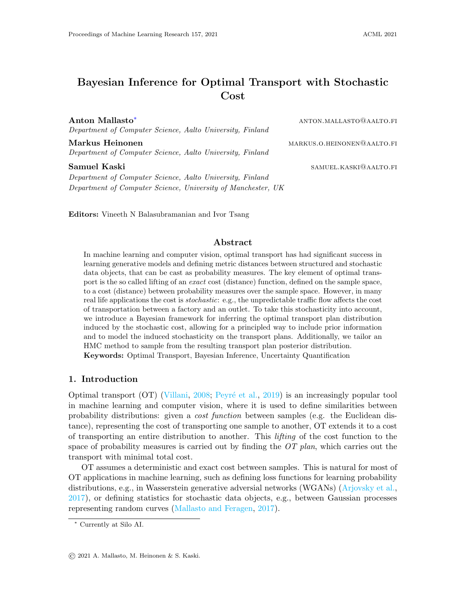However, the assumption of an exact cost rarely holds in real-life OT applications. This work is motivated by the lack of tools to solve OT problems in such stochastic settings, where the transportation cost  $c(x; y)$  between x and y is a random variable. See Fig. 1 for an illustration. We consider two such situations: 1. the very definition of  $\zeta$  is random, e.g., real life logistics, where transport between two points always results in a different cost due to varying traffic conditions. 2. OT between hierarchical measures, i.e., we have a mass distribution over a collection of random variables  $X_i$ ;  $Y_j$  whose values are uncertain and stochastic, and so  $c(X_i; Y_j)$  is also stochastic.

As the transportation cost varies, a natural question arises: how to take this uncertainty into account in the transportation plan, and which of them should be used in practice? Furthermore, it is important to include any prior knowledge in the solution. To answer these questions, we propose to use the Bayesian paradigm in order to infer the distribution of transport plans induced by the stochastic cost, and name the resulting approach as BayesOT. As a special case, we show that the resulting point estimates for the OT plan correspond to well-known regularizations of OT.

We contribute:

- 1. BayesOT, A Bayesian formulation of the OT problem, which produces full posterior distributions for the OT plans, and allows solving OT problems having stochastic cost functions.
- 2. The resulting formalism, relying on introducing optimality variables to relate a transport plan to a given cost matrix, generalizes earlier regularisation approaches, as these can be interpreted as maximum a posteriori estimates in our framework.
- 3. A Hamiltonian Monte Carlo approach for sampling from the transport polytope, i.e., the set of joint distributions with two fixed marginals.

Related Work. We are not aware of earlier works on stochastic costs in OT, but some works are related. For example, *Schrödinger bridges* consider the most likely path of evolution for a gas cloud given an initial and an evolved state, a problem equivalent to entropy-relaxed OT [\(Di Marino and Gerolin,](#page-14-0) [2019\)](#page-14-0). The evolution is Brownian, thus the dynamics bring forth a stochastic cost; however, no stochasticity remains as the most likely evolution is considered.

Ecological inference [\(King et al.,](#page-15-3) [2004\)](#page-15-3) studies individual behavior through aggregate data, by inferring a joint table from two marginal distributions: this is precisely what is done in OT, using the cost function. [Frogner and Poggio](#page-14-1) [\(2019\)](#page-14-1) consider a prior distribution over the joint tables, computing the maximum likelihood point estimate. Our work, in addition to the prior distribution, adds a likelihood, relating the joint table to the OT cost matrix. Furthermore, instead of just focusing on the MAP estimates, we also study sampling from the posterior. [Rosen et al.](#page-15-4) [\(2001\)](#page-15-4) consider Markov Chain Monte Carlo (MCMC) sampling from a user-defined prior distribution to estimate the joint table. However, strict marginal constraints are not enforced, which [Frogner and Poggio](#page-14-1) [\(2019\)](#page-14-1) speculate is due to the difficulty of MCMC inference on the set of joint distributions with perfectly-observed marginals. In contrast, BayesOT takes the marginal constraints strictly into account.

A conceivable alternative to solving the OT problem with stochastic cost would be standard OT with the average cost. An obvious down-side of this approach would be losing all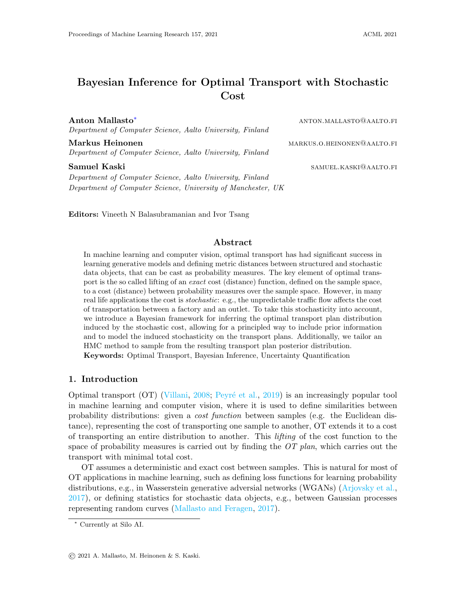|               |                               | Cost |  |                              |  |
|---------------|-------------------------------|------|--|------------------------------|--|
|               | $\boldsymbol{\mathrm{exact}}$ |      |  | stochastic Prior Uncertainty |  |
| OТ            |                               |      |  |                              |  |
| RegularizedOT |                               |      |  |                              |  |
| BayesOT       |                               |      |  |                              |  |

Table 1: Comparison between vanilla OT, Regularized OT, and our method BayesOT. The qualities imply whether the approaches are able to incorporate an exact or stochastic cost, prior information, or whether the methods provide uncertainty estimates.

stochasticity, resulting in an average-case analysis. If the measures are hierarchical, i.e., we have mass distributions  $\langle i \rangle$  j over spatially varying components given by random variables  $X_i$ ;  $Y_j$ . Then, the cost  $c(X_i; Y_j)$  would be stochastic, depending on the realisations of the components. One could then consider extending the sample-wise cost to a component-wise cost using the OT quantity between the two components, i.e.,  $\tilde{c}(X_i; Y_j) = \text{OT}_c(X_i; Y_j)$  [\(Chen](#page-14-2) [et al.,](#page-14-2) [2018\)](#page-14-2). However, we would lose all stochasticity again, and the component-wise OT cost would be blind to any natural correlation between the components.

Furthermore, one could solve the OT plan associated with each cost matrix sample  $\mathcal{C}^k$ , and carry out population analysis. This would, however, prevent the use of prior information, and would not result in a likelihood on the OT plans which could be used to estimate the relevancy of a given plan.

Minibatch OT [\(Fatras et al.,](#page-14-3) [2019,](#page-14-3) [2021\)](#page-14-4) is somewhat related. It has been applied for example in generative modelling [\(Mallasto et al.,](#page-15-5) [2019\)](#page-15-5), as it provides a convenient way to approximate the OT problem [\(Genevay et al.,](#page-14-5) [2016\)](#page-14-5). Although minibatch OT does include stochasticity through sampling the minibatches, only the expected OT problem over these minibatches is considered.

## 2. BACKGROUND

We now summarize the basics of optimal transport [\(Villani,](#page-15-0) [2008;](#page-15-0) Peyré et al., [2019\)](#page-15-1) and Bayesian inference [\(Gelman et al.,](#page-14-6) [2013\)](#page-14-6) in order to fix notation.

Optimal Transport (OT) is motivated by a simple problem. Assume we have locations of factories  $f\chi_j g_{j=1}^n$   $\qquad \qquad$  R<sup>d</sup> and of outlets  $f\chi_j g_{j=1}^n$   $\qquad \qquad$  R<sup>d</sup>. Each of the factories produces i amount of goods, and the outlets have a demand of  $j$ , each positive and normalized to sum to one; i, j 0 and  $\frac{n}{i-1}$   $i = \frac{n}{j-1}$  j = 1. We represent the distribution of goods over the factories and demands over the outlets by the discrete probability measures

$$
(x) = \begin{cases} \n\chi_1 & \text{if } x_i(x); \\ \n\chi_2(x) & \text{if } x_i(x) \n\end{cases} \quad (y) = \begin{cases} \n\chi_1 & \text{if } x_i(y); \\ \n\chi_2(x) & \text{if } x_i(x) \n\end{cases} \tag{1}
$$

where  $\chi(y)$  stands for the Dirac delta function.

Assume that the cost of transporting a unit amount of goods from  $x_i$  to  $y_j$  is  $c(x_i, y_j)$ , where  $c: \mathbb{R}^d \times \mathbb{R}^d \times \mathbb{R}^+$  is the *cost function*, inducing the *cost matrix*  $C_{ij} = c(X_i; y_j)$ . Then,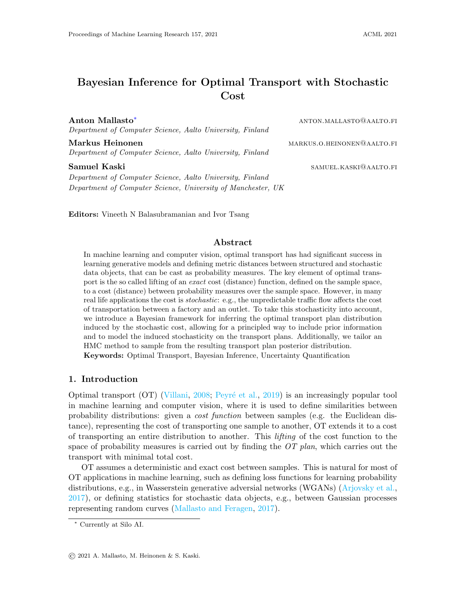Figure 1: OT with stochastic cost. Assume measures; having uniform distribution over the atoms  $x_1$ ;  $x_2$  and  $y_1$ ;  $y_2$ , respectively, and either of the cost matrices or B is observed with equal probability, so that on average  $C_{ii} = 5$  for all i; j. The average cost matrix yields an ill-posed OT problem, as any transport plan would solve the OT problem. On the other hand, the posterior distribution for the transport plan (on the right, blue gives an empirical histogram for posterior samples, orange gives posterior likelihood) encaptures the multimodality, which arises, as there are only two minimizing transport plans for the problem, depending on whether we witness cost matrix A or B. The transport plan is a 2 2 matrix, but can be parameterized with a single real value.

the OT quantity between and is given by

OT(*;* ; *C*) = 
$$
\min_{2 \text{ } (i, j)}
$$
 IC;  $i = \min_{2 \text{ } (i, j)} X_{ij} C_{ij}$ ; (2)

where the Frobenius inner producthC; i gives the total transportation cost and the set of joint probability measures with marginals and , the transport polytope, is denoted by

( ; ) = 8 9 < : : Xm j =1 ij = <sup>i</sup> ; Xn i=1 ij = <sup>j</sup> = ; : (3)

Its elements aretransport plans, as  $_{ij}$  is the amount of mass transported from $x_i$  to  $y_j$ . The constraints on ( ; ) enforce the preservation of mass; all the goods produced need to be transported so that the demand of each outlet is satised.

This seemingly practical problem produces a geometrical framework for probability measures, by lifting the sample-wise cost function to a similarity measure  $OT( ; ; C)$  between the probability measures. Depending on the cost, a metric distance could be produced (i.e., the p-Wasserstein distances), which allows studying probabilities using metric geometry.

Regularized Optimal Transport. The OT problem in (2) is a convex linear program, often producing slow-to-compute, 'sparse' transport plans that might not be unique. This has motivated regularized versions of OT (Cuturi, 2013; Dessein et al., 2018; Di Marino and Gerolin, 2020), which admit unique solutions. We now summarize regularized OT, as it turns out that solving certain maximum a posteriori estimates under the BayesOT framework is equivalent to solving regularized OT, as will be discussed in Sec. 3.4.

Given a strictly convex regularizer R, the regularized OT problem is given by (Dessein et al., 2018)

$$
OT_R( ; ; C) = \min_{2 \ ( ; \ )} \text{fhC}; \ i + R() \ g;
$$
 (4)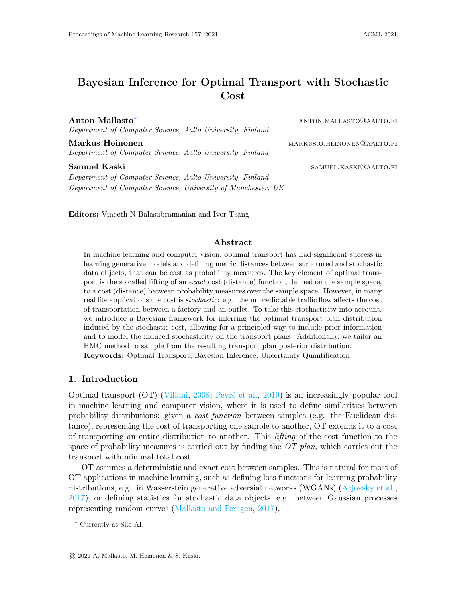With some technical assumptions onR, such as strict convexity over its domain, there exists a unique minimizer of (4), which in practice can be solved usingiterative Bregman projections. We denote this minimizer by  $(R; C; ; )$ . A popular choice for the regularizer is given by  $R = H$  (Cuturi, 2013), where the regularization magnitude  $> 0$  is a positive constant, and X

$$
H() = \begin{cases} 1 & \text{if } \log_{10} 1 \\ 0 & \text{if } \log_{10} 1 \end{cases}
$$

is the entropy. This speci c regularization strategy has gained much attention, as it is fast to solve with the Sinkhorn-Knopp iterations (Knight, 2008), and enjoys better statistical properties compared to vanilla OT (Genevay et al., 2019).

Bayesian Inference. Assume we are given a family of models, with parameter , and a dataset D =  $f(x_i; y_i)g_i^p$  $X$  Y, produced by an underlying relationship  $y_i = f(x_i) + "i$ , where "i is a random noise variable, and we want to inferf : X ! Y. Given knowledge about in the form of a prior distribution  $Pr( )$ , Bayesian statistics approaches inferringf by conditioning the parameters via the Bayes' formula

$$
Pr(jD) = \frac{Pr(Dj)Pr(j)}{Pr(D)};
$$
 (6)

where  $Pr(jD)$  is the posterior distribution,  $Pr(D)$  is the evidence, which can be viewed as a normalizing constant for the posterior distribution, and Pr( Dj ) is the likelihood, whose form is a part of the modelling choices.

The posterior distribution can then be used to estimate the uncertainty of predictions  $y = f(x)$  by sampling Pr( $i$ D) and observing the induced distribution of y. This distribution can also be summarized as apoint estimate. A common point estimate for  $f(x)$ is given by the maximum a posteriori (MAP) estimate f  $(x)$ , where = arg max Pr(  $|D|$ ).

Another popular point estimate is given by the average prediction E  $_{\text{Pr}(\text{ }j\text{D})}$ f (x).

# 3. BAYESIAN INFERENCE FOR OPTIMAL TRANSPORT

We now detail our approach, BayesOT, to solving OT with stochastic cost via Bayesian inference. First, we motivate the stochastic cost in Sec. 3.1, and then formulate the problem from a Bayesian perspective in Sec. 3.2. We then focus on sampling from the resulting posterior distribution of OT plans in Sec. 3.3, by devising a Hamiltonian Monte Carlo approach. Finally, we discuss resultingmaximum a posteriori estimates and their connections to regularized OT in Sec. 3.4.

## 3.1. Optimal Transport with Stochastic Cost

Consider the scenario where instead of an exact cost matrix, we observe samples  $Pr(C)$ ,  $k = 1$ ; :::; N, from a stochastic costC, which we view as a random variable. This stochasticity propagates to the regularized OT plan via the OT problem

$$
\arg\min_{2\,( \, ; \, \, )} \text{fhC}; \quad i + R() \, g; \quad C \quad \text{Pr}(C): \tag{7}
$$

In the rest of this work, our goal is to infer the distribution inherits from C.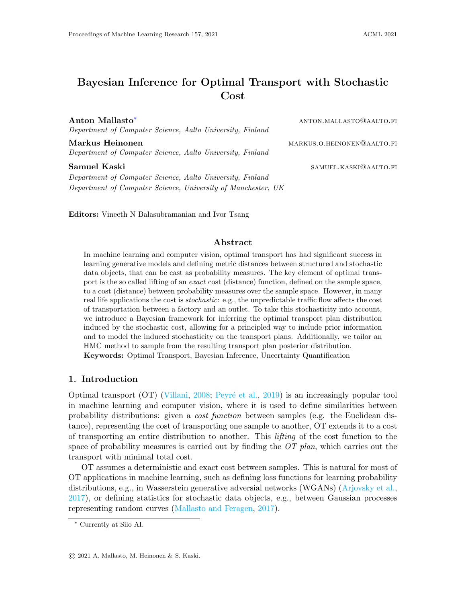Stochastic costs naturally occur when considering OT between hierarchical models ( $\iota_i$ ;  $X_i$ ) $_{i=1}^n$  and ( $\iota_j$ ;  $Y_j$ ) $_{j=1}^m$ , where  $X_i$ ,  $Y_j$  are random variables taking values in  $R^d$ , resulting in the stochastic cost matrix  $C_{ij}$  c(X<sub>i</sub>; Y<sub>j</sub>). Here one can view (<sub>i</sub>; X<sub>i</sub>) as a mobile factory with mass  $_{\rm i}$ , that has a stochastic location according to the random variableX<sub>i</sub>.

On the other hand, the costc itself can inherently be stochastic, e.g., when transporting goods in real life, as trac congestions behave stochastically, aecting the cost of transporting mass from point i to point j .

The choice to tackle (7) with Bayesian inference provides a convenient way of expressing uncertainty in parameters, allows the inclusion of prior knowledge on , alleviating problems with sample complexity, and provides a principled way of choosing point-estimates as the maximum a posteriori (MAP) estimates.

## 3.2. Bayesian Formulation of OT

To employ Bayesian machinery, we need to de ne a prior distribution  $Pr( j ; )$  for with marginals; , and a likelihood function that relates to a given sample  $C<sup>k</sup>$  of the cost. As we will mention below, priors on the transport polytope have already been discussed in the literature. Our key contribution is introducing the likelihood, quantifying how likely a given transport plan is optimal for a given cost matrix  $C<sup>k</sup>$ .

The Likelihood for  $C^k$  is de ned using auxiliary optimality variables  $O_k$  inspired by maximum entropy reinforcement learning (Levine, 2018): de ne a binary variable  $O_k$  2 f 0; 1g indicating whether achieves the minimum in OT(;; C  $k$ ), so that O<sub>k</sub> = 1 if it achieves the minimum, and  $O_k = 0$  otherwise. We consider the distribution

$$
Pr(O_k = 1 j ; ; Ck; ) = exp h Ck; i ; \t(8)
$$

which can be interpreted asthe likelihood of being optimal for  $C_k$ .

The likelihood is motivated by the fact that  $\mathsf{OT}(\cdot; C^k)$  0 always holds, and so if the total cost is zero, hC<sup>k</sup>; i = 0, then the likelihood of being optimal for  $C<sup>k</sup>$  (i.e., O<sub>k</sub> = 1) is 1. On the other hand, ash $C^k$ ; i decreases, the likelihood increases.

Prior for . Any prior whose support covers the transport polytope could be used, such as the well-behaved ones discussed by Frogner and Poggio (2019): component-wise normal, gamma, beta, chi-square, logistic and Weibull distributions. The authors also considered the Dirichlet distribution, which we nd to work well in practice in the experimental section. We also consider the entropy prior, de ned as

$$
Pr(j ; ) / exp(H(j) ; > 0; \t(9)
$$

which we use to enforce the positivity of the OT plans.

Posterior for . Given the likelihood and the prior, the posterior for a single cost matrix can now be written as

$$
Pr( j ; ; Ok = 1; Ck) / Pr(Ok = 1 j ; ; Ck; ) Pr( j ; ). \qquad (10)
$$

On the other hand, a population of cost matrices  $C<sup>k</sup>$ ,  $k = 1$ ; ...; N, requires de ning a joint likelihood for  $O_k$  before we can write out the posterior. To this end, we consider two likelihoods: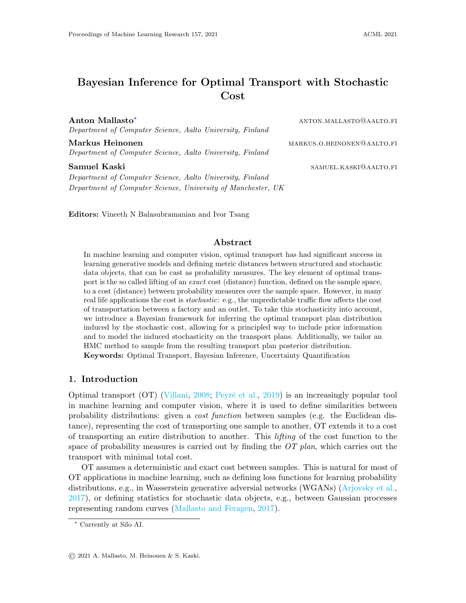(L1) The rst likelihood encourages to be optimal for each  $C<sup>k</sup>$ , and is given by

$$
Pr^{(L1)}(O = 1j; ; C; ) = Pr^{(L1)}(O_1 = 1; ...; O_N = 1 j; ; C^{-1}; ...; C^N; )
$$
  
= Pr(O<sub>k</sub> = 1 j; ; C<sup>k</sup>; ). (11)

(L2) The second likelihood encourages to be optimalfor some  $C<sup>k</sup>$ , and is given by

$$
Pr^{(L2)}(O = 1j; ; C; ) = Pr^{(L2)}(O_1 = 1; ...; O_N = 1 j; ; C^{-1}; ...; C^N; )
$$
  
= Pr(O<sub>k</sub> = 1 j; ; C<sup>k</sup>; ). (12)

The resulting posteriors will be denoted by  $Pr_i^{(L1)}($   $jC; O = 1)$  and  $Pr_i^{(L2)}($   $jC; O = 1)$ , respectively. The negative posterior log-likelihood can then be written as

$$
Q^{(L1)}() = \log Pr^{(L1)}(j; C; O = 1)
$$
  
\n
$$
= \log Pr(j; j) \Pr(O_k = 1 j; C^k; j)
$$
  
\n
$$
= \log Pr(j; j) + \sum_{k=1}^{k \neq 1} C^k; + const.;
$$
 (13)

and for the likelihood (L2) we compute

$$
Q^{(L2)}( ) = \log Pr^{(L2)}( ); O = 1)
$$
  
= log Pr( j ; ) Pr(O<sub>k</sub> = 1 j ;; C<sup>k</sup>; )  
= log Pr( j ; ) log exp(h C<sup>k</sup>; i) + const:

Note that (14) can be viewed as a smooth version of (7). This can be shown as follows. First, let  $R() = \log Pr()$ , and de ne a family of distributions with parameter :

$$
Pr ( jCk; Ok = 1) / exp h ; Cki Pr() 1 = exp 1(h ; Cki log Pr()) : (15)
$$

Then, assumingR() is strongly convex, so that log Pr (  $jC<sup>k</sup>$ ; O<sub>k</sub> = 1) has a unique maximizer, we have the weak convergence P(  $jC<sup>k</sup>$ ; O<sub>k</sub> = 1) ! 1<sub>(R;C;; )</sub>() as ! 0 (Henderson et al., 2003). Then, note that (14) can be written with  $= 1$  as

$$
Pr_{i}^{(L2)}(jC;O=1) = \sum_{k=1}^{N} Pr_{1}(jC^{k};O_{k}=1);
$$
 (16)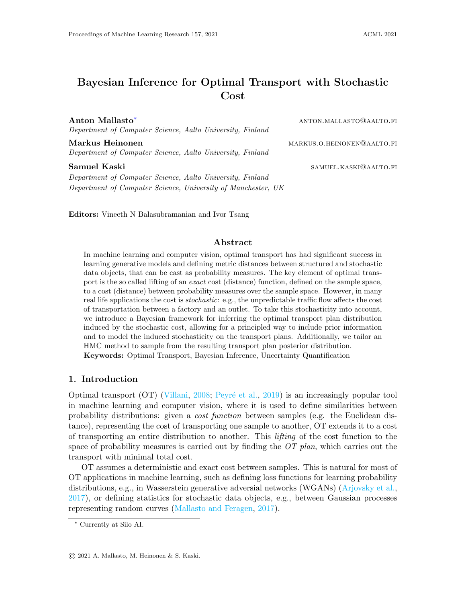whereas (7) can be written as

$$
\lim_{t \to 0} \Pr (jC; O = 1) dPr(C): \tag{17}
$$

We will discuss the relationship of (13) to regularized OT later in Section 3.4.

## 3.3. Posterior Sampling

We consider a Markov chain Monte Carlo (MCMC), specically a Hamiltonian Monte Carlo (HMC) method to sample from the OT plan posteriors. This requires a novel way to take the marginal constraints into account, which we do by devising a chart for the transport polytope in (24).

MCMC methods are the main workhorse in Bayesian inference, allowing sampling from a given unnormalized distribution. First, a proposal process  $Pr(t_{t+1} | t)$  is devised, where t is a sequential sample index. Given a proposed transition  $_t$  !  $t_{t+1}$ , we Iter it through the Metropolis-Hastings sampler, ensuring that the resulting Markov chain is reversible with respect to Pr  $($   $|C;O=1\rangle$  and satis es detailed balance

HMC is a popular variant of MCMC, allowing for e cient sampling in high dimensions, which pairs the state with a momentum P 2  $R^{n-m}$  (Neal et al., 2011). One then de nes the kinetic energy T and potential energy U,  $\ddot{\phantom{0}}$ 

T(
$$
\,;\text{P}
$$
) = vec(P) diag(M) <sup>1</sup>vec(P) =  $\sum_{ij}^{X} P_{ij}^{2} M_{ij}^{1}$ ;  
\nU() =  $\log \det (\text{diag}(M)) \log Pr()$   
\n=  $\frac{1}{2} \sum_{ij}^{X} \log M_{ij} \quad Pr_{ij} \quad (jC; O = 1)$ : (18)

Here diag(M) 2  $R^{\text{nm}}$  nm is a diagonal mass matrix induced by the matrix M 2  $R^{\text{n}}_{+}$  m. A default choice would beM<sub>ii</sub> = 1. The kinetic and potential energies form the Hamiltonian

$$
H(\ ; P) = T(\ ; P) + U(\ )\ ;
$$
 (19)

which induces the Hamiltonian system whose trajectories preserve the Hamiltonian. The HMC procedure then samples a momentum $P_t$ , and evolves the pair ( $_t$ ;  $P_t$ ) according to the Hamiltonian with a symplectic integrator, e.g., the leapfrog algorithm Betancourt (2017). The resulting pair  $( t_{t+1} ; P_{t+1} )$  is then accepted with probability

$$
(\, t, \, t_{+1}) = \min f 1; \exp(H(\, t, P_t) \, H(\, t_{+1}; P_{t+1}))g. \tag{20}
$$

Constraints on , can be taken into account by utilizing the geometry of the transport polytope, which we present below. The positivity constraints 0 can be enforced coordinate-wise through the prior, assigning zero mass for negative values. For example, one could consider the uniform distribution over the probability simplex.

Transport Polytope. To accommodate the somewhat complicated constraints on the transport polytope, we cast the polytope as a set concentrated on an ane plane bound by positivity constraints. This allows parameterizing the polytope using a linear chart (given in  $(24)$  below), which we put in use when sampling viable transport plans.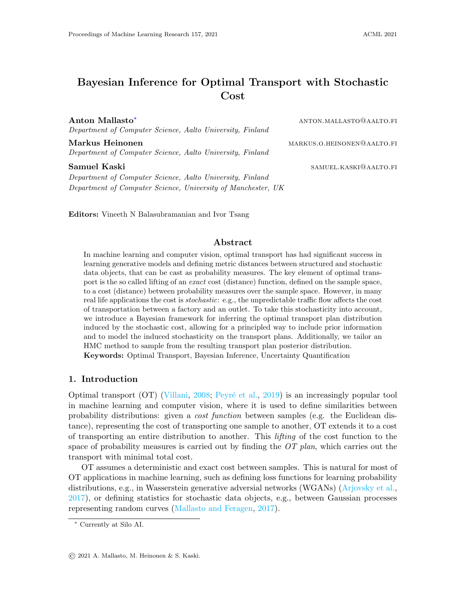Rigorously, we formulate the constraints on  $($ ;  $)$  in a linear fashion as

$$
\begin{array}{ccccccccc}\n0 & 1_m & = & \cdot; & \cdot; & 0; & 8i; j:\n\end{array}
$$
\n(21)

where  $1_n$  is the n-vector with all coordinates 1. Hence, (; ) is a convex polytope, and furthermore, it lies on the a ne plane (see Fig. 2)

<sup>0</sup> + V<sup>0</sup> = 8 < : <sup>0</sup> + M : X j Mij = 0; X i Mij = 0; 8i; j 9 = ; ; (22)

for some  $_0$  2 (; ). Thus, given any 2 (; ), we can nd M 2 V<sub>0</sub>, so that  $= 0 + M$ . The vector spaceV<sub>0</sub> is isomorphic to R<sup>(n 1)</sup> (m 1) via

$$
': R^{(n-1) (m-1)} : V_0; \t Z! \t (c)_T \t P_{ij \t j}^R ; \t (23)
$$

where  $P_i =$ P  $\frac{1}{j}$  is the row sum vector of and  $\frac{C}{j}$  = P <sub>i ij</sub> is the respective column sum vector. Thus, ' provides a linear chart for (; ) through

$$
() = \t0 + ' () \t0;
$$
 (24)

where the inequality is enforced for all coordinates.

In practice, we choose  $_0$  to be the independent joint distribution of and .

#### 3.4. Maximum A Posteriori Estimation as Regularized OT

We now consider the MAP estimate for the posterior distribution  $Pr^{(L1)}_j$  ( $jC$ ; O = 1) under the likelihood (L1). The (L2) case is more demanding due to the non-convexity of the smooth minimum appearing in  $Q^{(L_2)}$ , whereas $Q^{(L_1)}$  is convex if log Pr( j; ) is convex. Now considering $Q^{(L1)}$  in (13), we see that computing the MAP estimate,

<sup>8</sup> = arg min 2 ( ; ) Q (L 1)() = arg min 2 ( ; ) ( log Pr( j ; ) + \* XN k=1 C k ; ; (25)

is equivalent to solving the regularized OT problem (4) with the regularizer

$$
R() = \log Pr( j ; );
$$
 (26)

 $+$  $\lambda$ 

Figure 2: Illustration of the transport polytope as described in (22).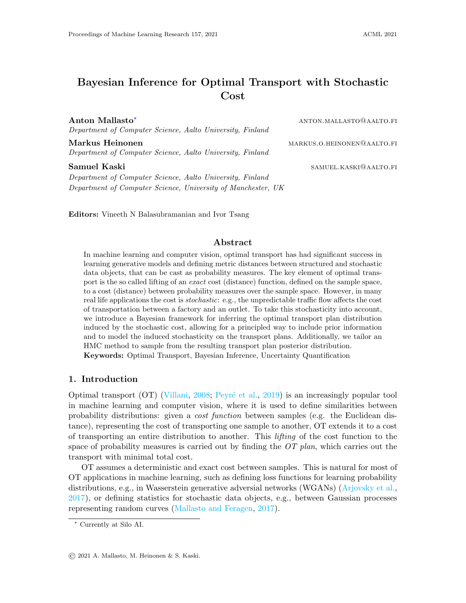P

the marginals ; , and the cost matrix  $_{k}$  C<sup>k</sup>.

For the sake of illustration, we discuss the MAP estimate in three example cases.

Constant Prior. With a constant prior  $Pr() = const$ :, solving (25) corresponds to the vanilla OT problem (2).

Entropy Prior. Assume we have a prior proportional to the exponential of the -scaled entropy of de ned in  $(9)$ , we get the regularizer

$$
R() = \log Pr(j; ) = H(); \qquad (27)
$$

Thus, solving (25) corresponds to solving the entropy-relaxed OT problem (Cuturi, 2013).

Gaussian Prior. Consider a Gaussian prior vec() Pr( ; ) for the vectorized transport plan, with mean and covariance matrix . Then, one gets

$$
R() = \frac{1}{2}(vec() \quad ) \quad ^{1}(vec() \quad ) ; \tag{28}
$$

and so if  $= 0$ , the Gaussian prior results in quadratically regularized OT (Lorenz et al., 2019; Dessein et al., 2018), where the quadratic term is the norm with respect to the Mahalanobis metric given by  $\frac{1}{2}$  <sup>1</sup>.

|                  | No Cost |          |             |       | <b>With Cost</b> |       |          |             |       |       |
|------------------|---------|----------|-------------|-------|------------------|-------|----------|-------------|-------|-------|
| Prior            |         | Error    | Correlation | 1 STD | 2 STD            | Error |          | Correlation | 1 STD | 2 STD |
| <b>Dirichlet</b> | 1:92    | $10^{3}$ | 0:702       | 62:8% | 82:9%            | 1:91  | $10^{3}$ | 0:686       | 616%  | 824%  |
| Tsallis          | 2:62    | $10^{3}$ | 0:304       | 47.9% | 628%             | 254   | $10^{3}$ | 0:350       | 47.1% | 608%  |
| Entropic         | 2:44    | $10^{3}$ | 0:319       | 454%  | 604%             | 258   | $10^{3}$ | 0:240       | 47.4% | 630%  |
| Gaussian         | 241     | $10^{3}$ | 0:340       | 443%  | 591%             | 242   | $10^{3}$ | 0:322       | 465%  | 607%  |
| Uniform          | 2:52    | $10^{3}$ | 0:284       | 443%  | 583%             | 246   | $10^{3}$ | 0:290       | 482%  | 61:9% |

Table 2: BayesOT yields meaningful uncertainty estimates for the Florida vote registration dataset. The median error is computed for the mean posterior prediction, the correlation is between standard deviations of the posterior (for an entry in the joint distribution) and the absolute error, and the two last columns give the percentage of data points lying inside the con dence bounds given by 1 and 2 standard deviations, respectively. The rst four columns omit the OT likelihood term, whereas the four last columns include it.

Figure 3: Demonstration of BayesOT between instances of digits 5-9 (columns) and 0-4 (rows). Each histogram shows the posterior of  $_{ii}$ .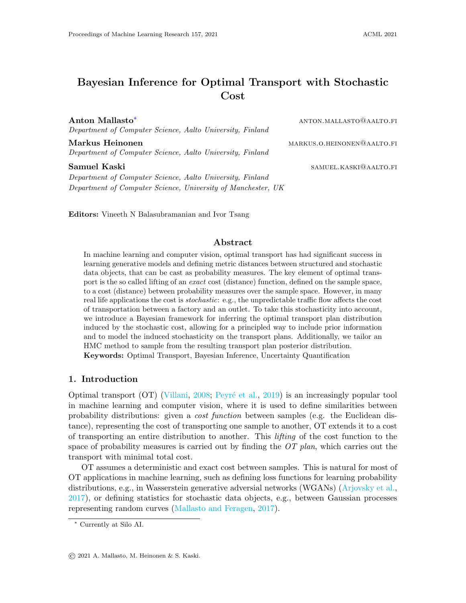## 4. EXPERIMENTS

We now demonstrate BayesOT on one toy data set (MNIST) and give empirical results on two sets: Florida vote registration dataset shows how BayesOT provides useful uncertainty estimates while building on top of traditional OT approaches. The New York City taxi dataset presents real tra c data, which we use to transport persons around Manhattan, comparing the BayesOT posterior to the average case analysis.

We implement BayesOT with the Pyro probabilistic programming framework (Bingham et al., 2019), and use the NUTS sampler (Homan and Gelman, 2014) for HMC to automatically tune the hyperparameters. We typically get 60 samples per second on a Macbook Pro 2015 in each of the experiments.

MNIST. As a toy-example with real data, we consider transport between two measures over 32 32 images of hand-written digits in the MNIST dataset (LeCun et al., 1998). The digits  $0 \quad 9$  are arbitrarily split into two groups of  $0 \quad 4$  and  $5 \quad 9$ , forming two measures and with uniform weights. We sample images of each digit from the dataset to compute  $N = 100$  samples from the stochastic cost matrix using the squared Euclidean metric. We sample 10 points from the posterior with 10<sup>3</sup> burn-in samples with a step size of 10<sup>4</sup>, and use the entropy prior with  $= 1$ .

The resulting posterior over the transport plans, with the likelihood (L1), is illustrated in Fig. 3. The results positively match intuition, as we most often see the mappings  $\sigma$ ! 5, 1 7! 7, 2 7! 6, 3 7! 8 and 4 7! 9. However, some of the assignments are not as clear-cut as others. For instance, 07! 5 is very dominant, whereas 37! 8 is not that dominant, as in some cases  $3!$ ! 7 might be more favorable, depending on the drawing style of the digit. This e ect is ignored by the MAP solution

Florida Vote Registration. We apply BayesOT to infer a joint table given two marginals, a common task in ecological inference. On top of point estimates, BayesOT provides uncertainty estimates, which are shown to be meaningful by the experiment.

The Florida dataset (Imai and Khanna, 2016) describes 10<sup>6</sup> individual voters in Florida for the 2012 US presidential elections. From the data, we aggregate two marginals per county (of which there are 68), namely a marginal of the party vote ('Democrat', 'Republican', 'Other') and another for ethnicity ('White', 'Black', 'Hispanic', 'Asian', 'Native', 'Other'). Then, we infer a posterior over joint tables between these features (Flaxman et al., 2015), which we compare to ground truth joint tables for each county.

Muzellec et al. (2017) apply OT to this problem by using side information to compute a cost matrix as r

$$
C_{ij} = 2 \quad 2 \text{ exp} \qquad \text{kv}_i^p \quad v_j^{\text{ek}}_2 ; \qquad (29)
$$

where  $= 10$ ,  $v_i^p$  $\frac{p}{q}$  is the average pro le for party i, consisting of: age normalized to lie within [0; 1], gender represented as a binary number, and an indicator variable expressing whether they voted in 2008 or not. The v<sub>j</sub>e is an analogous pro le, but for ethnicity j . Muzellec et al. (2017) employedTsallis-regularized OT to infer the joint table, which in our framework can be viewed as a MAP estimate with Tsallis-entropy prior. We show here how BayesOT, even when the cost is exact, allows us to provide uncertainty estimates for regularized OT, including Tsallis-regularized OT.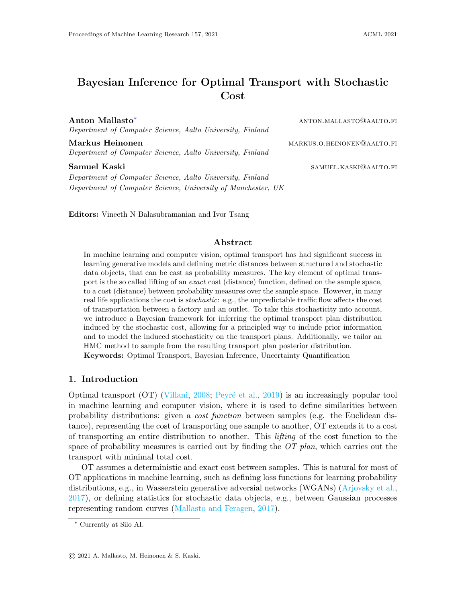Figure 4: Ground-truth assignments against the posterior mean assignments  $_{ii}$  for the 10 rst counties in the Florida vote registration dataset. The posterior utilizes Dirichlet prior with the cost matrix computed over the individual counties. A perfect inference would produce a scatter plot lying on the red diagonal line.

The approach by Frogner and Poggio (2019) discussed in Sec. 1 is also related. They choose a prior distribution, whose most likely joint table is chosen. Our HMC approach, which takes the marginal constraints into account, can be applied to their work, by sampling from the prior distribution, yielding uncertainty estimates for the point estimate.

For each county, we vary the prior distribution between the Diriclet prior, the Tsallisentropy prior and the entropy prior, and choose whether to use the likelihood associated with the OT cost or not (second term in  $(14)$  and  $(13)$ ). In each case, the HMC chain is initialized with 10<sup>2</sup> burn in samples with an initial step size of 10<sup>4</sup>, after which 10<sup>3</sup> posterior samples are acquired. This number of samples is quite low, especially for higher dimensions, but the results show that meaningful uncertainty estimates are still obtained.

The results are summarized in Table 2, presenting the median error, and to assess the uncertainty estimates, the correlation between the uncertainty estimates and absolute error, and how many test values lie within the 1 STD and 2 STD condence intervals of the point estimate. Furthermore, the results obtained using the Dirichlet prior and the cost matrix on the 10 rst counties are illustrated in Fig. 4.

The results indicate clearly that the Dirichlet prior performs the best, as it achieves the lowest median error and highest correlation between the posterior standard deviations and absolute errors. This might be as the prior is supported on the probability simplex, and thus concentrates more mass there compared to the other priors. On the other hand, it is surprising that the cost matrix does not seem to provide meaningful information, as the results over each prior remain quite una ected when we leave the OT likelihood term out.

NYC Taxi Dataset. We consider data collected from Yellow cabs driving in Manhattan in January 2019, totalling 7.7 million trips. For , we consider the 5 most common pick-up zones, and for the 6-15 most common pick-up zones, presented in Fig. 5. The weights for (and ) are computed according to the number of trips departing (and arriv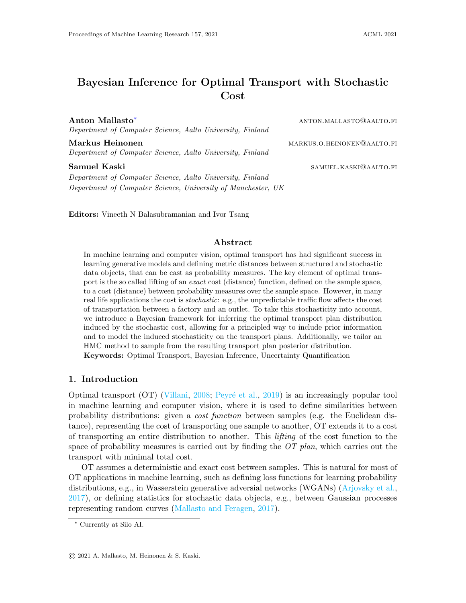Figure 5: (blue) and (red) distributions used for taxi zones on Manhattan.

ing) from the location. The cost matrix  $C_{ii}$  is computed by sampling trips between locations i and j, and dividing the fare by the amount of passengers on board. Thus, our task is to transport persons from pick-up locations to drop-o locations in an optimal way.

For this experiment, we pick the uniform prior and obtain 1000 samples from the stochastic cost matrix. We initialize the HMC chain with  $2 \times 10^3$  warm-up iterations, after which we sample 10 points from the posterior, induced by the likelihood  $(L1)$ , which is illustrated in Fig.  $6$ , alongside with the average cost  $OT$  solution.

In many cases where the average case analysis assigns considerable mass (e. $\vec{q}$ . 1 13; 2 7! 12; 5 7! 11), we see a larger variation in the histogram towards larger mass assignments. This agrees with intuition, as there should be many individual cost matrices encouraging a large assignment, if the average OT plan has a large assignment. However, the histogram also supports low assignments, implying that it is not always optimal to match these taxi zones together. We do also observe contradicting cases, such as  $1314$ , which might be caused by a situation, where the assignment on average is optimal, but otherwise is not. On the other end, we also observe cases where no mass is assigned on the average (17! 9; 3 7! 10), but the histogram still tends to assign some mass. This could be caused by a similar case as above, where this is suboptimal on average, but in many cases one should still assign some mass.

# 5. DISCUSSION

We introduced BayesOT, expanding the scope of OT to systems with stochastic cost, a common scenario in the real world. The experiments endorse BayesOT as a successful approach to model the stochasticity propagating to the OT plans from the cost, and proves to be useful in providing uncertainty estimates for use cases of OT with an exact cost.

A notable challenge for the use of BayesOT is formed by the posterior sampling method used (see supplementary material), which is orthogonal to the scope of this work, where the focus was on deriving a general framework for stochastic OT. As we consider marginal distributions with an increasing number of atoms, the dimensionality of the problem increases, subsequently increasing the mixing time for the MCMC method used. However, MCMC methodology is still under extensive consideration, and new advances are likely to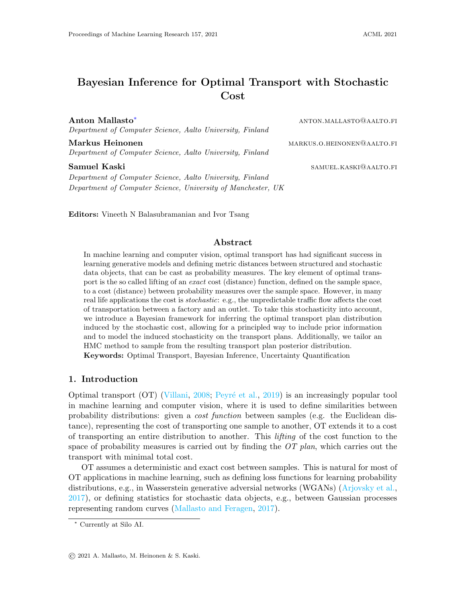#### Mallasto Heinonen Kaski



Figure 6: BayesOT posterior with uniform prior for transport plans between zones 1-5 and 6-15. Each histogram shows the posterior of  $\Gamma_{ij}$ , and the red lines give the standard OT solution for the average case.

scale BayesOT to even larger problems. As a current example, an alternative to HMC could be the stochastic gradient Riemann Hamiltonian Monte Carlo [\(Ma et al.,](#page-15-6) [2015\)](#page-15-6), or more approximative inference methods such as variational inference [\(Blei et al.,](#page-14-7) [2017\)](#page-14-7).

Future directions for BayesOT include modelling the joint distribution  $(C,\Gamma)$  of the cost and the OT plan explicitly, which allows computing a posterior distribution for the total OT cost. One could also consider regression problems, where at a given time with no observations, a distribution over potential OT plans could be inferred based on previous data. Although advances are needed to scale our approach to large problems, based on the experiments, we view BayesOT as a useful first step towards making OT-based analysis possible in uncertain environments.

## Acknowledgments

This work was supported by the Academy of Finland (Flagship programme: Finnish Center for Artificial Intelligence FCAI, Grants 294238, 319264, 292334, 334600, 328400). We acknowledge the computational resources provided by Aalto Science-IT project.

## References

- <span id="page-13-0"></span>Martin Arjovsky, Soumith Chintala, and Léon Bottou. Wasserstein generative adversarial networks. In Doina Precup and Yee Whye Teh, editors, Proceedings of the 34th International Conference on Machine Learning, volume 70 of Proceedings of Machine Learning Research, pages 214–223. PMLR, 06–11 Aug 2017.
- Michael Betancourt. A conceptual introduction to Hamiltonian Monte Carlo. *arXiv preprint* arXiv:1701.02434, 2017.
- Eli Bingham, Jonathan P. Chen, Martin Jankowiak, Fritz Obermeyer, Neeraj Pradhan, Theofanis Karaletsos, Rohit Singh, Paul A. Szerlip, Paul Horsfall, and Noah D. Goodman.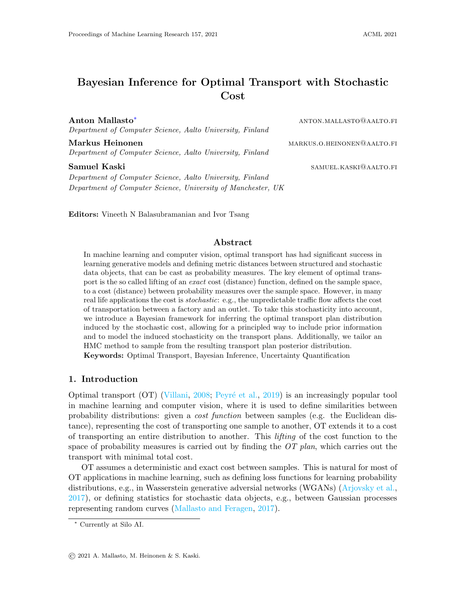Pyro: Deep universal probabilistic programming. J. Mach. Learn. Res., 20:28:1–28:6, 2019.

- <span id="page-14-7"></span>David M Blei, Alp Kucukelbir, and Jon D McAuliffe. Variational inference: A review for statisticians. Journal of the American Statistical Association, 112(518):859–877, 2017.
- <span id="page-14-2"></span>Yongxin Chen, Tryphon T Georgiou, and Allen Tannenbaum. Optimal transport for Gaussian mixture models. IEEE Access, 7:6269–6278, 2018.
- Marco Cuturi. Sinkhorn distances: Lightspeed computation of optimal transport. In Advances in Neural Information Processing Systems, pages 2292–2300, 2013.
- Arnaud Dessein, Nicolas Papadakis, and Jean-Luc Rouas. Regularized optimal transport and the rot mover's distance. The Journal of Machine Learning Research, 19(1):590–642, 2018.
- <span id="page-14-0"></span>Simone Di Marino and Augusto Gerolin. An optimal transport approach for the Schrödinger bridge problem and convergence of Sinkhorn algorithm. arXiv preprint arXiv:1911.06850, 2019.
- Simone Di Marino and Augusto Gerolin. Optimal transport losses and Sinkhorn algorithm with general convex regularization. *arXiv preprint arXiv:2007.00976*, 2020.
- <span id="page-14-3"></span>Kilian Fatras, Younes Zine, Rémi Flamary, Rémi Gribonval, and Nicolas Courty. Learning with minibatch Wasserstein: asymptotic and gradient properties.  $arXiv$  preprint arXiv:1910.04091, 2019.
- <span id="page-14-4"></span>Kilian Fatras, Younes Zine, Szymon Majewski, Rémi Flamary, Rémi Gribonval, and Nicolas Courty. Minibatch optimal transport distances; analysis and applications. arXiv preprint arXiv:2101.01792, 2021.
- Seth R Flaxman, Yu-Xiang Wang, and Alexander J Smola. Who supported Obama in 2012? Ecological inference through distribution regression. In Proceedings of the 21th ACM SIGKDD International Conference on Knowledge Discovery and Data Mining, pages 289– 298, 2015.
- <span id="page-14-1"></span>Charlie Frogner and Tomaso Poggio. Fast and flexible inference of joint distributions from their marginals. In International Conference on Machine Learning, pages 2002–2011, 2019.
- <span id="page-14-6"></span>Andrew Gelman, John B Carlin, Hal S Stern, David B Dunson, Aki Vehtari, and Donald B Rubin. Bayesian Data Analysis. CRC press, 2013.
- <span id="page-14-5"></span>Aude Genevay, Marco Cuturi, Gabriel Peyré, and Francis Bach. Stochastic optimization for large-scale optimal transport. In D. Lee, M. Sugiyama, U. Luxburg, I. Guyon, and R. Garnett, editors, Advances in Neural Information Processing Systems, volume 29, pages 3440–3448. Curran Associates, Inc., 2016.
- Aude Genevay, Lénaic Chizat, Francis Bach, Marco Cuturi, and Gabriel Peyré. Sample complexity of Sinkhorn divergences. In The 22nd International Conference on Artificial Intelligence and Statistics, pages 1574–1583. PMLR, 2019.